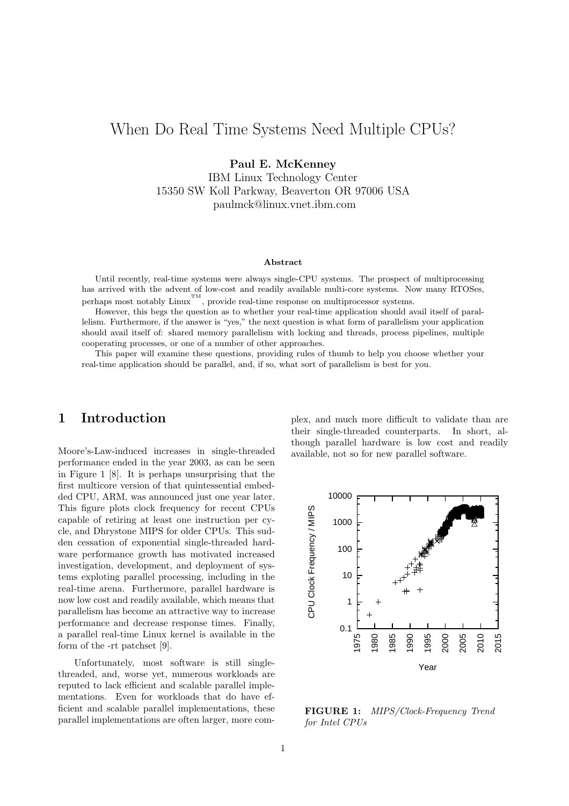# When Do Real Time Systems Need Multiple CPUs?

Paul E. McKenney

IBM Linux Technology Center 15350 SW Koll Parkway, Beaverton OR 97006 USA paulmck@linux.vnet.ibm.com

#### Abstract

Until recently, real-time systems were always single-CPU systems. The prospect of multiprocessing has arrived with the advent of low-cost and readily available multi-core systems. Now many RTOSes, perhaps most notably Linux<sup>TM</sup>, provide real-time response on multiprocessor systems.

However, this begs the question as to whether your real-time application should avail itself of parallelism. Furthermore, if the answer is "yes," the next question is what form of parallelism your application should avail itself of: shared memory parallelism with locking and threads, process pipelines, multiple cooperating processes, or one of a number of other approaches.

This paper will examine these questions, providing rules of thumb to help you choose whether your real-time application should be parallel, and, if so, what sort of parallelism is best for you.

### 1 Introduction

Moore's-Law-induced increases in single-threaded performance ended in the year 2003, as can be seen in Figure 1 [8]. It is perhaps unsurprising that the first multicore version of that quintessential embedded CPU, ARM, was announced just one year later. This figure plots clock frequency for recent CPUs capable of retiring at least one instruction per cycle, and Dhrystone MIPS for older CPUs. This sudden cessation of exponential single-threaded hardware performance growth has motivated increased investigation, development, and deployment of systems exploting parallel processing, including in the real-time arena. Furthermore, parallel hardware is now low cost and readily available, which means that parallelism has become an attractive way to increase performance and decrease response times. Finally, a parallel real-time Linux kernel is available in the form of the -rt patchset [9].

Unfortunately, most software is still singlethreaded, and, worse yet, numerous workloads are reputed to lack efficient and scalable parallel implementations. Even for workloads that do have efficient and scalable parallel implementations, these parallel implementations are often larger, more complex, and much more difficult to validate than are their single-threaded counterparts. In short, although parallel hardware is low cost and readily available, not so for new parallel software.



FIGURE 1: MIPS/Clock-Frequency Trend for Intel CPUs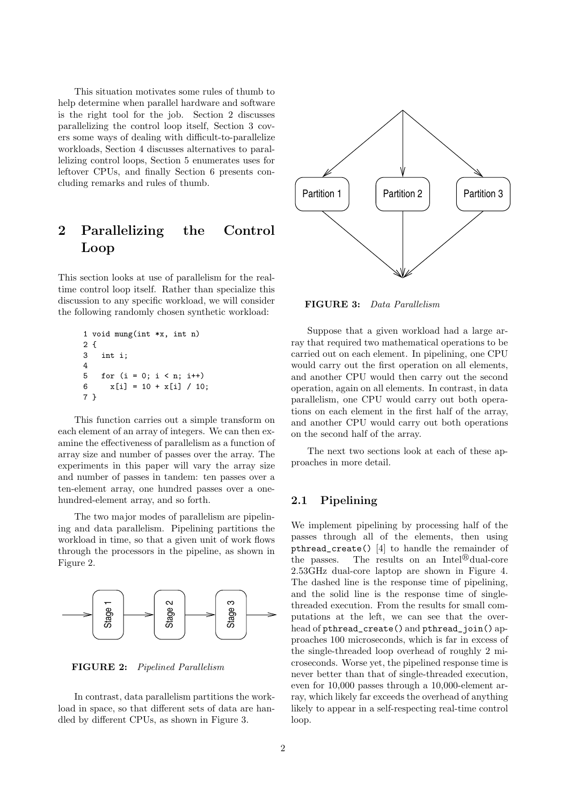This situation motivates some rules of thumb to help determine when parallel hardware and software is the right tool for the job. Section 2 discusses parallelizing the control loop itself, Section 3 covers some ways of dealing with difficult-to-parallelize workloads, Section 4 discusses alternatives to parallelizing control loops, Section 5 enumerates uses for leftover CPUs, and finally Section 6 presents concluding remarks and rules of thumb.

## 2 Parallelizing the Control Loop

This section looks at use of parallelism for the realtime control loop itself. Rather than specialize this discussion to any specific workload, we will consider the following randomly chosen synthetic workload:

```
1 void mung(int *x, int n)
2 {
3 int i;
4
5 for (i = 0; i < n; i++)6 x[i] = 10 + x[i] / 10;7 }
```
This function carries out a simple transform on each element of an array of integers. We can then examine the effectiveness of parallelism as a function of array size and number of passes over the array. The experiments in this paper will vary the array size and number of passes in tandem: ten passes over a ten-element array, one hundred passes over a onehundred-element array, and so forth.

The two major modes of parallelism are pipelining and data parallelism. Pipelining partitions the workload in time, so that a given unit of work flows through the processors in the pipeline, as shown in Figure 2.



FIGURE 2: Pipelined Parallelism

In contrast, data parallelism partitions the workload in space, so that different sets of data are handled by different CPUs, as shown in Figure 3.



FIGURE 3: Data Parallelism

Suppose that a given workload had a large array that required two mathematical operations to be carried out on each element. In pipelining, one CPU would carry out the first operation on all elements, and another CPU would then carry out the second operation, again on all elements. In contrast, in data parallelism, one CPU would carry out both operations on each element in the first half of the array, and another CPU would carry out both operations on the second half of the array.

The next two sections look at each of these approaches in more detail.

#### 2.1 Pipelining

We implement pipelining by processing half of the passes through all of the elements, then using pthread\_create() [4] to handle the remainder of the passes. The results on an Intel $^{\circledR}$  dual-core 2.53GHz dual-core laptop are shown in Figure 4. The dashed line is the response time of pipelining, and the solid line is the response time of singlethreaded execution. From the results for small computations at the left, we can see that the overhead of pthread\_create() and pthread\_join() approaches 100 microseconds, which is far in excess of the single-threaded loop overhead of roughly 2 microseconds. Worse yet, the pipelined response time is never better than that of single-threaded execution, even for 10,000 passes through a 10,000-element array, which likely far exceeds the overhead of anything likely to appear in a self-respecting real-time control loop.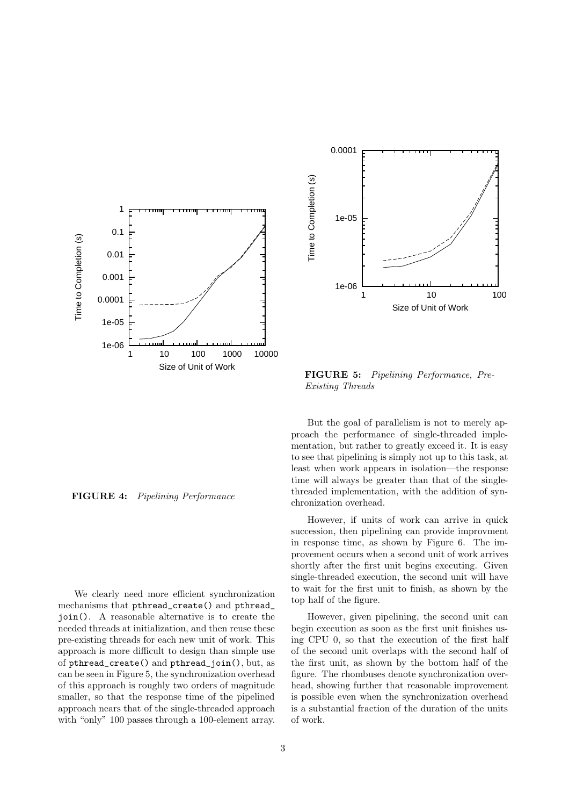



FIGURE 5: Pipelining Performance, Pre-Existing Threads

### FIGURE 4: Pipelining Performance

We clearly need more efficient synchronization mechanisms that pthread\_create() and pthread\_ join(). A reasonable alternative is to create the needed threads at initialization, and then reuse these pre-existing threads for each new unit of work. This approach is more difficult to design than simple use of pthread\_create() and pthread\_join(), but, as can be seen in Figure 5, the synchronization overhead of this approach is roughly two orders of magnitude smaller, so that the response time of the pipelined approach nears that of the single-threaded approach with "only" 100 passes through a 100-element array.

But the goal of parallelism is not to merely approach the performance of single-threaded implementation, but rather to greatly exceed it. It is easy to see that pipelining is simply not up to this task, at least when work appears in isolation—the response time will always be greater than that of the singlethreaded implementation, with the addition of synchronization overhead.

However, if units of work can arrive in quick succession, then pipelining can provide improvment in response time, as shown by Figure 6. The improvement occurs when a second unit of work arrives shortly after the first unit begins executing. Given single-threaded execution, the second unit will have to wait for the first unit to finish, as shown by the top half of the figure.

However, given pipelining, the second unit can begin execution as soon as the first unit finishes using CPU 0, so that the execution of the first half of the second unit overlaps with the second half of the first unit, as shown by the bottom half of the figure. The rhombuses denote synchronization overhead, showing further that reasonable improvement is possible even when the synchronization overhead is a substantial fraction of the duration of the units of work.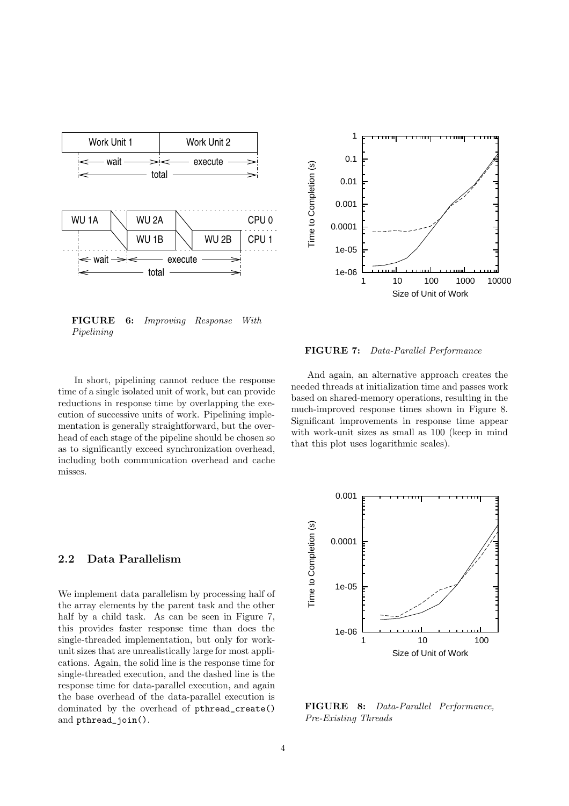

FIGURE 6: Improving Response With Pipelining

In short, pipelining cannot reduce the response time of a single isolated unit of work, but can provide reductions in response time by overlapping the execution of successive units of work. Pipelining implementation is generally straightforward, but the overhead of each stage of the pipeline should be chosen so as to significantly exceed synchronization overhead, including both communication overhead and cache misses.

## 1 0.1 Time to Completion (s) Time to Completion (s) 0.01 0.001 0.0001 1e-05 1e-06 1 10 100 1000 10000 Size of Unit of Work

FIGURE 7: Data-Parallel Performance

And again, an alternative approach creates the needed threads at initialization time and passes work based on shared-memory operations, resulting in the much-improved response times shown in Figure 8. Significant improvements in response time appear with work-unit sizes as small as 100 (keep in mind that this plot uses logarithmic scales).

#### 2.2 Data Parallelism

We implement data parallelism by processing half of the array elements by the parent task and the other half by a child task. As can be seen in Figure 7, this provides faster response time than does the single-threaded implementation, but only for workunit sizes that are unrealistically large for most applications. Again, the solid line is the response time for single-threaded execution, and the dashed line is the response time for data-parallel execution, and again the base overhead of the data-parallel execution is dominated by the overhead of pthread\_create() and pthread join().



FIGURE 8: Data-Parallel Performance, Pre-Existing Threads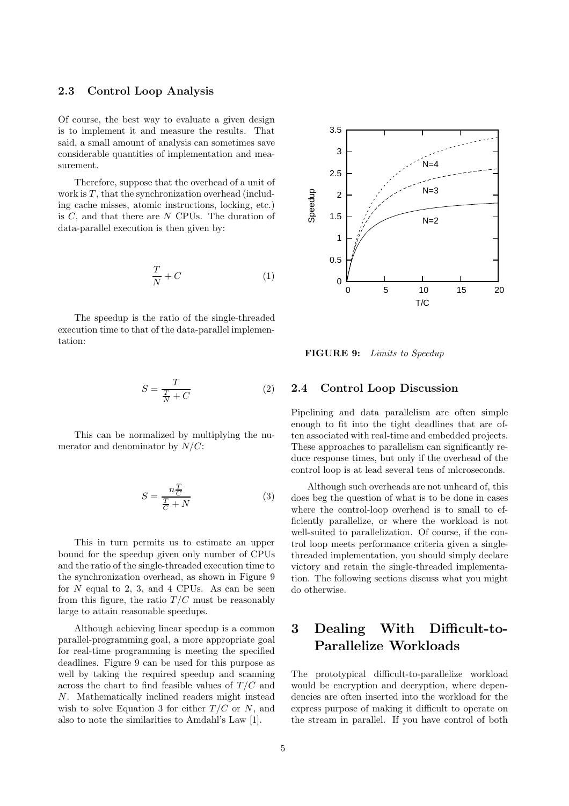### 2.3 Control Loop Analysis

Of course, the best way to evaluate a given design is to implement it and measure the results. That said, a small amount of analysis can sometimes save considerable quantities of implementation and measurement.

Therefore, suppose that the overhead of a unit of work is  $T$ , that the synchronization overhead (including cache misses, atomic instructions, locking, etc.) is C, and that there are N CPUs. The duration of data-parallel execution is then given by:

$$
\frac{T}{N} + C \tag{1}
$$

The speedup is the ratio of the single-threaded execution time to that of the data-parallel implementation:

$$
S = \frac{T}{\frac{T}{N} + C} \tag{2}
$$

This can be normalized by multiplying the numerator and denominator by  $N/C$ :

$$
S = \frac{n\frac{T}{C}}{\frac{T}{C} + N} \tag{3}
$$

This in turn permits us to estimate an upper bound for the speedup given only number of CPUs and the ratio of the single-threaded execution time to the synchronization overhead, as shown in Figure 9 for  $N$  equal to 2, 3, and 4 CPUs. As can be seen from this figure, the ratio  $T/C$  must be reasonably large to attain reasonable speedups.

Although achieving linear speedup is a common parallel-programming goal, a more appropriate goal for real-time programming is meeting the specified deadlines. Figure 9 can be used for this purpose as well by taking the required speedup and scanning across the chart to find feasible values of  $T/C$  and N. Mathematically inclined readers might instead wish to solve Equation 3 for either  $T/C$  or N, and also to note the similarities to Amdahl's Law [1].



FIGURE 9: Limits to Speedup

#### 2.4 Control Loop Discussion

Pipelining and data parallelism are often simple enough to fit into the tight deadlines that are often associated with real-time and embedded projects. These approaches to parallelism can significantly reduce response times, but only if the overhead of the control loop is at lead several tens of microseconds.

Although such overheads are not unheard of, this does beg the question of what is to be done in cases where the control-loop overhead is to small to efficiently parallelize, or where the workload is not well-suited to parallelization. Of course, if the control loop meets performance criteria given a singlethreaded implementation, you should simply declare victory and retain the single-threaded implementation. The following sections discuss what you might do otherwise.

# 3 Dealing With Difficult-to-Parallelize Workloads

The prototypical difficult-to-parallelize workload would be encryption and decryption, where dependencies are often inserted into the workload for the express purpose of making it difficult to operate on the stream in parallel. If you have control of both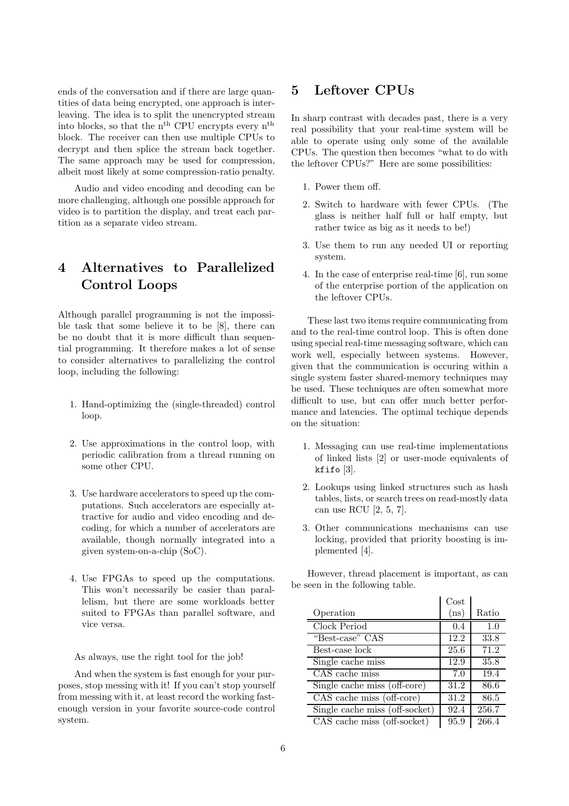ends of the conversation and if there are large quantities of data being encrypted, one approach is interleaving. The idea is to split the unencrypted stream into blocks, so that the  $n<sup>th</sup>$  CPU encrypts every  $n<sup>th</sup>$ block. The receiver can then use multiple CPUs to decrypt and then splice the stream back together. The same approach may be used for compression, albeit most likely at some compression-ratio penalty.

Audio and video encoding and decoding can be more challenging, although one possible approach for video is to partition the display, and treat each partition as a separate video stream.

# 4 Alternatives to Parallelized Control Loops

Although parallel programming is not the impossible task that some believe it to be [8], there can be no doubt that it is more difficult than sequential programming. It therefore makes a lot of sense to consider alternatives to parallelizing the control loop, including the following:

- 1. Hand-optimizing the (single-threaded) control loop.
- 2. Use approximations in the control loop, with periodic calibration from a thread running on some other CPU.
- 3. Use hardware accelerators to speed up the computations. Such accelerators are especially attractive for audio and video encoding and decoding, for which a number of accelerators are available, though normally integrated into a given system-on-a-chip (SoC).
- 4. Use FPGAs to speed up the computations. This won't necessarily be easier than parallelism, but there are some workloads better suited to FPGAs than parallel software, and vice versa.

As always, use the right tool for the job!

And when the system is fast enough for your purposes, stop messing with it! If you can't stop yourself from messing with it, at least record the working fastenough version in your favorite source-code control system.

### 5 Leftover CPUs

In sharp contrast with decades past, there is a very real possibility that your real-time system will be able to operate using only some of the available CPUs. The question then becomes "what to do with the leftover CPUs?" Here are some possibilities:

- 1. Power them off.
- 2. Switch to hardware with fewer CPUs. (The glass is neither half full or half empty, but rather twice as big as it needs to be!)
- 3. Use them to run any needed UI or reporting system.
- 4. In the case of enterprise real-time [6], run some of the enterprise portion of the application on the leftover CPUs.

These last two items require communicating from and to the real-time control loop. This is often done using special real-time messaging software, which can work well, especially between systems. However, given that the communication is occuring within a single system faster shared-memory techniques may be used. These techniques are often somewhat more difficult to use, but can offer much better performance and latencies. The optimal techique depends on the situation:

- 1. Messaging can use real-time implementations of linked lists [2] or user-mode equivalents of kfifo  $[3]$ .
- 2. Lookups using linked structures such as hash tables, lists, or search trees on read-mostly data can use RCU [2, 5, 7].
- 3. Other communications mechanisms can use locking, provided that priority boosting is implemented [4].

However, thread placement is important, as can be seen in the following table.

 $\sim$  Cost

|                                | Cost              |       |
|--------------------------------|-------------------|-------|
| Operation                      | (n <sub>s</sub> ) | Ratio |
| Clock Period                   | 0.4               | 1.0   |
| "Best-case" CAS                | 12.2              | 33.8  |
| Best-case lock                 | 25.6              | 71.2  |
| Single cache miss              | 12.9              | 35.8  |
| CAS cache miss                 | 7.0               | 19.4  |
| Single cache miss (off-core)   | 31.2              | 86.6  |
| CAS cache miss (off-core)      | 31.2              | 86.5  |
| Single cache miss (off-socket) | 92.4              | 256.7 |
| CAS cache miss (off-socket)    | 95.9              | 266.4 |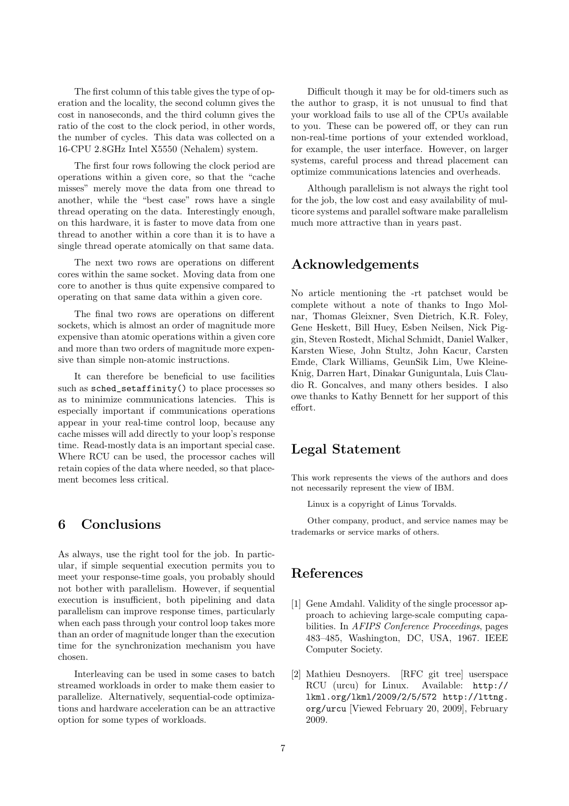The first column of this table gives the type of operation and the locality, the second column gives the cost in nanoseconds, and the third column gives the ratio of the cost to the clock period, in other words, the number of cycles. This data was collected on a 16-CPU 2.8GHz Intel X5550 (Nehalem) system.

The first four rows following the clock period are operations within a given core, so that the "cache misses" merely move the data from one thread to another, while the "best case" rows have a single thread operating on the data. Interestingly enough, on this hardware, it is faster to move data from one thread to another within a core than it is to have a single thread operate atomically on that same data.

The next two rows are operations on different cores within the same socket. Moving data from one core to another is thus quite expensive compared to operating on that same data within a given core.

The final two rows are operations on different sockets, which is almost an order of magnitude more expensive than atomic operations within a given core and more than two orders of magnitude more expensive than simple non-atomic instructions.

It can therefore be beneficial to use facilities such as sched\_setaffinity() to place processes so as to minimize communications latencies. This is especially important if communications operations appear in your real-time control loop, because any cache misses will add directly to your loop's response time. Read-mostly data is an important special case. Where RCU can be used, the processor caches will retain copies of the data where needed, so that placement becomes less critical.

### 6 Conclusions

As always, use the right tool for the job. In particular, if simple sequential execution permits you to meet your response-time goals, you probably should not bother with parallelism. However, if sequential execution is insufficient, both pipelining and data parallelism can improve response times, particularly when each pass through your control loop takes more than an order of magnitude longer than the execution time for the synchronization mechanism you have chosen.

Interleaving can be used in some cases to batch streamed workloads in order to make them easier to parallelize. Alternatively, sequential-code optimizations and hardware acceleration can be an attractive option for some types of workloads.

Difficult though it may be for old-timers such as the author to grasp, it is not unusual to find that your workload fails to use all of the CPUs available to you. These can be powered off, or they can run non-real-time portions of your extended workload, for example, the user interface. However, on larger systems, careful process and thread placement can optimize communications latencies and overheads.

Although parallelism is not always the right tool for the job, the low cost and easy availability of multicore systems and parallel software make parallelism much more attractive than in years past.

## Acknowledgements

No article mentioning the -rt patchset would be complete without a note of thanks to Ingo Molnar, Thomas Gleixner, Sven Dietrich, K.R. Foley, Gene Heskett, Bill Huey, Esben Neilsen, Nick Piggin, Steven Rostedt, Michal Schmidt, Daniel Walker, Karsten Wiese, John Stultz, John Kacur, Carsten Emde, Clark Williams, GeunSik Lim, Uwe Kleine-Knig, Darren Hart, Dinakar Guniguntala, Luis Claudio R. Goncalves, and many others besides. I also owe thanks to Kathy Bennett for her support of this effort.

## Legal Statement

This work represents the views of the authors and does not necessarily represent the view of IBM.

Linux is a copyright of Linus Torvalds.

Other company, product, and service names may be trademarks or service marks of others.

## References

- [1] Gene Amdahl. Validity of the single processor approach to achieving large-scale computing capabilities. In AFIPS Conference Proceedings, pages 483–485, Washington, DC, USA, 1967. IEEE Computer Society.
- [2] Mathieu Desnoyers. [RFC git tree] userspace RCU (urcu) for Linux. Available: http:// lkml.org/lkml/2009/2/5/572 http://lttng. org/urcu [Viewed February 20, 2009], February 2009.